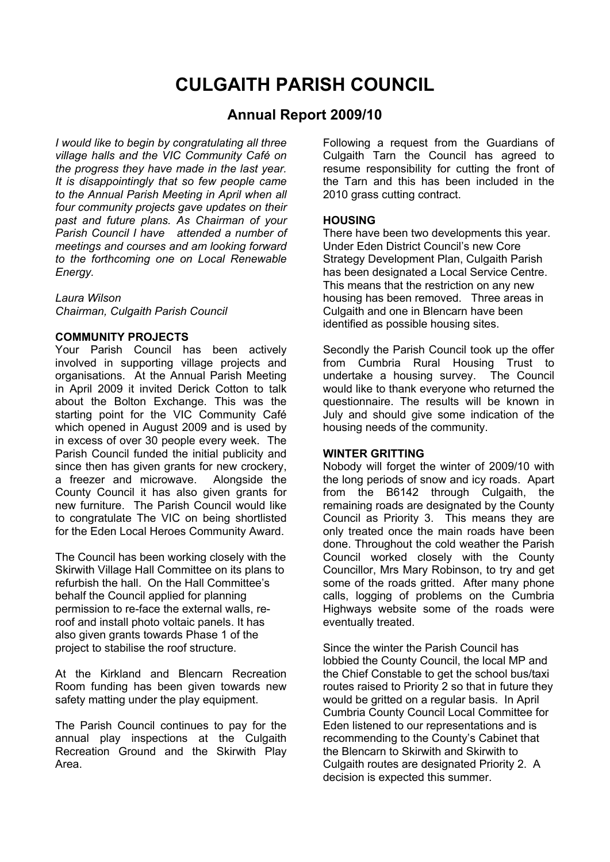# **CULGAITH PARISH COUNCIL**

# **Annual Report 2009/10**

*I would like to begin by congratulating all three village halls and the VIC Community Café on the progress they have made in the last year. It is disappointingly that so few people came to the Annual Parish Meeting in April when all four community projects gave updates on their past and future plans. As Chairman of your Parish Council I have attended a number of meetings and courses and am looking forward to the forthcoming one on Local Renewable Energy.*

*Laura Wilson Chairman, Culgaith Parish Council*

# **COMMUNITY PROJECTS**

Your Parish Council has been actively involved in supporting village projects and organisations. At the Annual Parish Meeting in April 2009 it invited Derick Cotton to talk about the Bolton Exchange. This was the starting point for the VIC Community Café which opened in August 2009 and is used by in excess of over 30 people every week. The Parish Council funded the initial publicity and since then has given grants for new crockery, a freezer and microwave. Alongside the County Council it has also given grants for new furniture. The Parish Council would like to congratulate The VIC on being shortlisted for the Eden Local Heroes Community Award.

The Council has been working closely with the Skirwith Village Hall Committee on its plans to refurbish the hall. On the Hall Committee's behalf the Council applied for planning permission to re-face the external walls, reroof and install photo voltaic panels. It has also given grants towards Phase 1 of the project to stabilise the roof structure.

At the Kirkland and Blencarn Recreation Room funding has been given towards new safety matting under the play equipment.

The Parish Council continues to pay for the annual play inspections at the Culgaith Recreation Ground and the Skirwith Play Area.

Following a request from the Guardians of Culgaith Tarn the Council has agreed to resume responsibility for cutting the front of the Tarn and this has been included in the 2010 grass cutting contract.

# **HOUSING**

There have been two developments this year. Under Eden District Council's new Core Strategy Development Plan, Culgaith Parish has been designated a Local Service Centre. This means that the restriction on any new housing has been removed. Three areas in Culgaith and one in Blencarn have been identified as possible housing sites.

Secondly the Parish Council took up the offer from Cumbria Rural Housing Trust to undertake a housing survey. The Council would like to thank everyone who returned the questionnaire. The results will be known in July and should give some indication of the housing needs of the community.

# **WINTER GRITTING**

Nobody will forget the winter of 2009/10 with the long periods of snow and icy roads. Apart from the B6142 through Culgaith, the remaining roads are designated by the County Council as Priority 3. This means they are only treated once the main roads have been done. Throughout the cold weather the Parish Council worked closely with the County Councillor, Mrs Mary Robinson, to try and get some of the roads gritted. After many phone calls, logging of problems on the Cumbria Highways website some of the roads were eventually treated.

Since the winter the Parish Council has lobbied the County Council, the local MP and the Chief Constable to get the school bus/taxi routes raised to Priority 2 so that in future they would be gritted on a regular basis. In April Cumbria County Council Local Committee for Eden listened to our representations and is recommending to the County's Cabinet that the Blencarn to Skirwith and Skirwith to Culgaith routes are designated Priority 2. A decision is expected this summer.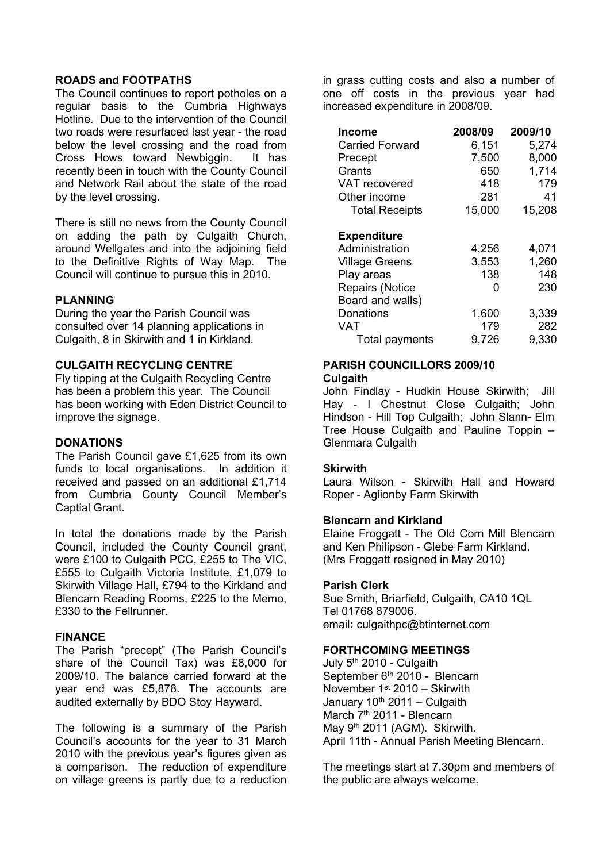#### **ROADS and FOOTPATHS**

The Council continues to report potholes on a regular basis to the Cumbria Highways Hotline. Due to the intervention of the Council two roads were resurfaced last year - the road below the level crossing and the road from Cross Hows toward Newbiggin. It has recently been in touch with the County Council and Network Rail about the state of the road by the level crossing.

There is still no news from the County Council on adding the path by Culgaith Church, around Wellgates and into the adjoining field to the Definitive Rights of Way Map. The Council will continue to pursue this in 2010.

# **PLANNING**

During the year the Parish Council was consulted over 14 planning applications in Culgaith, 8 in Skirwith and 1 in Kirkland.

# **CULGAITH RECYCLING CENTRE**

Fly tipping at the Culgaith Recycling Centre has been a problem this year. The Council has been working with Eden District Council to improve the signage.

#### **DONATIONS**

The Parish Council gave £1,625 from its own funds to local organisations. In addition it received and passed on an additional £1,714 from Cumbria County Council Member's Captial Grant.

In total the donations made by the Parish Council, included the County Council grant, were £100 to Culgaith PCC, £255 to The VIC, £555 to Culgaith Victoria Institute, £1,079 to Skirwith Village Hall, £794 to the Kirkland and Blencarn Reading Rooms, £225 to the Memo, £330 to the Fellrunner.

# **FINANCE**

The Parish "precept" (The Parish Council's share of the Council Tax) was £8,000 for 2009/10. The balance carried forward at the year end was £5,878. The accounts are audited externally by BDO Stoy Hayward.

The following is a summary of the Parish Council's accounts for the year to 31 March 2010 with the previous year's figures given as a comparison. The reduction of expenditure on village greens is partly due to a reduction

in grass cutting costs and also a number of one off costs in the previous year had increased expenditure in 2008/09.

| Income                 | 2008/09 | 2009/10 |
|------------------------|---------|---------|
| <b>Carried Forward</b> | 6,151   | 5,274   |
| Precept                | 7,500   | 8,000   |
| Grants                 | 650     | 1,714   |
| VAT recovered          | 418     | 179     |
| Other income           | 281     | 41      |
| <b>Total Receipts</b>  | 15,000  | 15,208  |
| <b>Expenditure</b>     |         |         |
| Administration         | 4,256   | 4,071   |
| <b>Village Greens</b>  | 3,553   | 1,260   |
| Play areas             | 138     | 148     |
| <b>Repairs (Notice</b> | 0       | 230     |
| Board and walls)       |         |         |
| Donations              | 1,600   | 3,339   |
| VAT                    | 179     | 282     |
| Total payments         | 9,726   | 9,330   |

# **PARISH COUNCILLORS 2009/10 Culgaith**

John Findlay - Hudkin House Skirwith; Jill Hay - I Chestnut Close Culgaith; John Hindson - Hill Top Culgaith; John Slann- Elm Tree House Culgaith and Pauline Toppin Glenmara Culgaith

#### **Skirwith**

Laura Wilson - Skirwith Hall and Howard Roper - Aglionby Farm Skirwith

# **Blencarn and Kirkland**

Elaine Froggatt - The Old Corn Mill Blencarn and Ken Philipson - Glebe Farm Kirkland. (Mrs Froggatt resigned in May 2010)

#### **Parish Clerk**

Sue Smith, Briarfield, Culgaith, CA10 1QL Tel 01768 879006. email**:** [culgaithpc@btinternet.com](mailto:culgaithpc@btinternet.com)

#### **FORTHCOMING MEETINGS**

July 5<sup>th</sup> 2010 - Culgaith September 6<sup>th</sup> 2010 - Blencarn November 1<sup>st</sup> 2010 - Skirwith January 10<sup>th</sup> 2011 - Culgaith March 7<sup>th</sup> 2011 - Blencarn May 9<sup>th</sup> 2011 (AGM). Skirwith. April 11th - Annual Parish Meeting Blencarn.

The meetings start at 7.30pm and members of the public are always welcome.